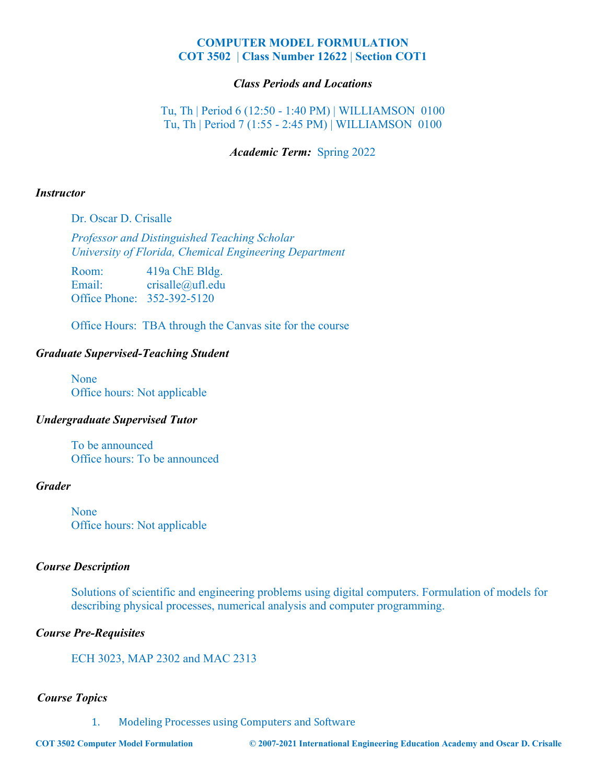# **COMPUTER MODEL FORMULATION COT 3502** | **Class Number 12622** | **Section COT1**

# *Class Periods and Locations*

Tu, Th | Period 6 (12:50 - 1:40 PM) | WILLIAMSON 0100 Tu, Th | Period 7 (1:55 - 2:45 PM) | WILLIAMSON 0100

## *Academic Term:* Spring 2022

#### *Instructor*

Dr. Oscar D. Crisalle

*Professor and Distinguished Teaching Scholar University of Florida, Chemical Engineering Department*

Room: 419a ChE Bldg. Email: crisalle@ufl.edu Office Phone: 352-392-5120

Office Hours: TBA through the Canvas site for the course

### *Graduate Supervised-Teaching Student*

None Office hours: Not applicable

# *Undergraduate Supervised Tutor*

To be announced Office hours: To be announced

### *Grader*

None Office hours: Not applicable

#### *Course Description*

Solutions of scientific and engineering problems using digital computers. Formulation of models for describing physical processes, numerical analysis and computer programming.

#### *Course Pre-Requisites*

ECH 3023, MAP 2302 and MAC 2313

# *Course Topics*

1. Modeling Processes using Computers and Software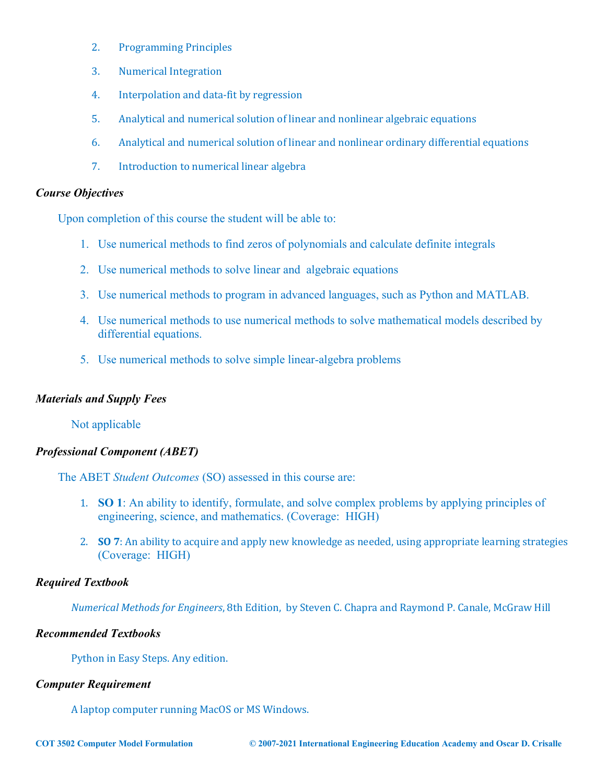- 2. Programming Principles
- 3. Numerical Integration
- 4. Interpolation and data-fit by regression
- 5. Analytical and numerical solution of linear and nonlinear algebraic equations
- 6. Analytical and numerical solution of linear and nonlinear ordinary differential equations
- 7. Introduction to numerical linear algebra

# *Course Objectives*

Upon completion of this course the student will be able to:

- 1. Use numerical methods to find zeros of polynomials and calculate definite integrals
- 2. Use numerical methods to solve linear and algebraic equations
- 3. Use numerical methods to program in advanced languages, such as Python and MATLAB.
- 4. Use numerical methods to use numerical methods to solve mathematical models described by differential equations.
- 5. Use numerical methods to solve simple linear-algebra problems

# *Materials and Supply Fees*

Not applicable

# *Professional Component (ABET)*

The ABET *Student Outcomes* (SO) assessed in this course are:

- 1. **SO 1**: An ability to identify, formulate, and solve complex problems by applying principles of engineering, science, and mathematics. (Coverage: HIGH)
- 2. **SO** 7: An ability to acquire and apply new knowledge as needed, using appropriate learning strategies (Coverage: HIGH)

# *Required Textbook*

*Numerical Methods for Engineers*, 8th Edition, by Steven C. Chapra and Raymond P. Canale, McGraw Hill

# *Recommended Textbooks*

Python in Easy Steps. Any edition.

# *Computer Requirement*

A laptop computer running MacOS or MS Windows.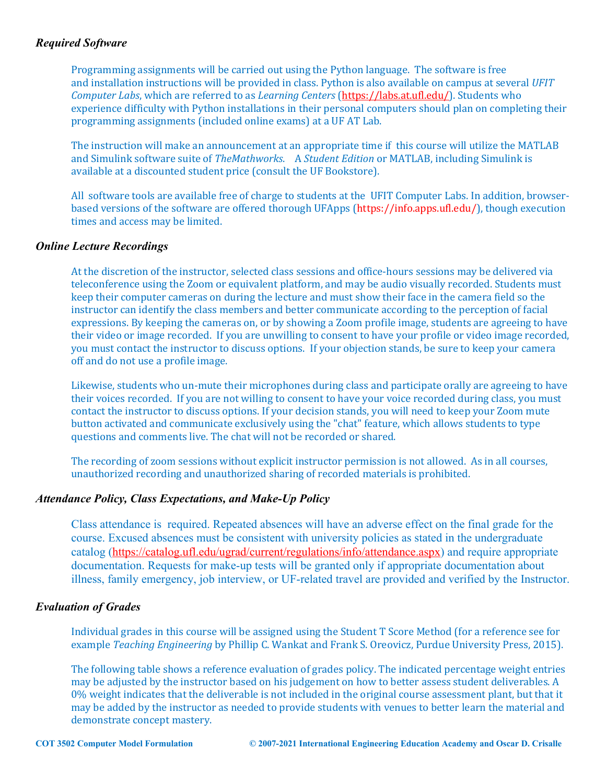# *Required Software*

Programming assignments will be carried out using the Python language. The software is free and installation instructions will be provided in class. Python is also available on campus at several *UFIT Computer Labs*, which are referred to as *Learning Centers* (https://labs.at.ufl.edu/). Students who experience difficulty with Python installations in their personal computers should plan on completing their programming assignments (included online exams) at a UF AT Lab.

The instruction will make an announcement at an appropriate time if this course will utilize the MATLAB and Simulink software suite of *TheMathworks*. A *Student Edition* or MATLAB, including Simulink is available at a discounted student price (consult the UF Bookstore).

All software tools are available free of charge to students at the UFIT Computer Labs. In addition, browserbased versions of the software are offered thorough UFApps (https://info.apps.ufl.edu/), though execution times and access may be limited.

#### *Online Lecture Recordings*

At the discretion of the instructor, selected class sessions and office-hours sessions may be delivered via teleconference using the Zoom or equivalent platform, and may be audio visually recorded. Students must keep their computer cameras on during the lecture and must show their face in the camera field so the instructor can identify the class members and better communicate according to the perception of facial expressions. By keeping the cameras on, or by showing a Zoom profile image, students are agreeing to have their video or image recorded. If you are unwilling to consent to have your profile or video image recorded, you must contact the instructor to discuss options. If your objection stands, be sure to keep your camera off and do not use a profile image.

Likewise, students who un-mute their microphones during class and participate orally are agreeing to have their voices recorded. If you are not willing to consent to have your voice recorded during class, you must contact the instructor to discuss options. If your decision stands, you will need to keep your Zoom mute button activated and communicate exclusively using the "chat" feature, which allows students to type questions and comments live. The chat will not be recorded or shared.

The recording of zoom sessions without explicit instructor permission is not allowed. As in all courses, unauthorized recording and unauthorized sharing of recorded materials is prohibited.

#### *Attendance Policy, Class Expectations, and Make-Up Policy*

Class attendance is required. Repeated absences will have an adverse effect on the final grade for the course. Excused absences must be consistent with university policies as stated in the undergraduate catalog (https://catalog.ufl.edu/ugrad/current/regulations/info/attendance.aspx) and require appropriate documentation. Requests for make-up tests will be granted only if appropriate documentation about illness, family emergency, job interview, or UF-related travel are provided and verified by the Instructor.

#### *Evaluation of Grades*

Individual grades in this course will be assigned using the Student T Score Method (for a reference see for example *Teaching Engineering* by Phillip C. Wankat and Frank S. Oreovicz, Purdue University Press, 2015).

The following table shows a reference evaluation of grades policy. The indicated percentage weight entries may be adjusted by the instructor based on his judgement on how to better assess student deliverables. A 0% weight indicates that the deliverable is not included in the original course assessment plant, but that it may be added by the instructor as needed to provide students with venues to better learn the material and demonstrate concept mastery.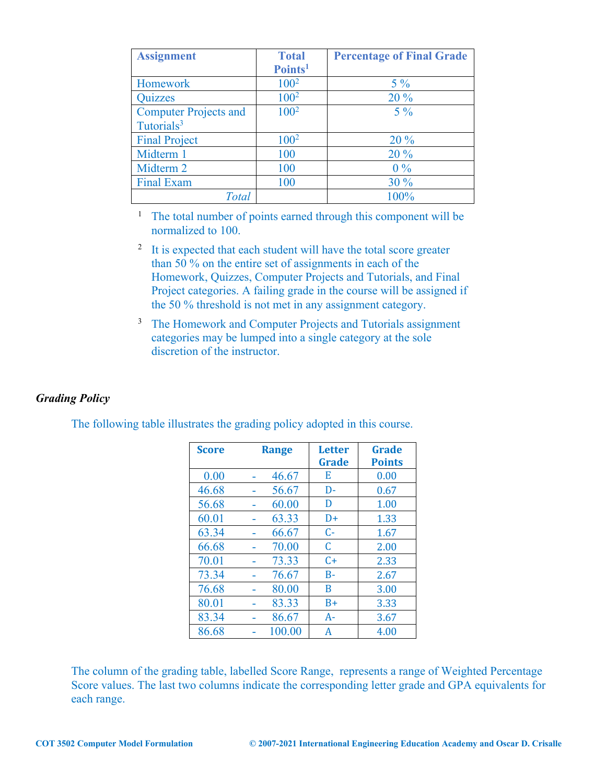| <b>Assignment</b>            | <b>Total</b>        | <b>Percentage of Final Grade</b> |
|------------------------------|---------------------|----------------------------------|
|                              | Points <sup>1</sup> |                                  |
| Homework                     | $100^2$             | $5\%$                            |
| <b>Quizzes</b>               | $100^2$             | 20 %                             |
| <b>Computer Projects and</b> | $100^2$             | $5\%$                            |
| Tutorials <sup>3</sup>       |                     |                                  |
| <b>Final Project</b>         | $100^2$             | 20%                              |
| Midterm 1                    | 100                 | 20%                              |
| Midterm 2                    | 100                 | $0\%$                            |
| <b>Final Exam</b>            | 100                 | 30%                              |
| Total                        |                     | 100%                             |

<sup>1</sup> The total number of points earned through this component will be normalized to 100.

- <sup>2</sup> It is expected that each student will have the total score greater than 50 % on the entire set of assignments in each of the Homework, Quizzes, Computer Projects and Tutorials, and Final Project categories. A failing grade in the course will be assigned if the 50 % threshold is not met in any assignment category.
- <sup>3</sup> The Homework and Computer Projects and Tutorials assignment categories may be lumped into a single category at the sole discretion of the instructor.

# *Grading Policy*

| <b>Score</b> | <b>Range</b> |        | <b>Letter</b><br>Grade | Grade<br><b>Points</b> |
|--------------|--------------|--------|------------------------|------------------------|
| 0.00         |              | 46.67  | E                      | 0.00                   |
| 46.68        |              | 56.67  | D-                     | 0.67                   |
| 56.68        |              | 60.00  | D                      | 1.00                   |
| 60.01        |              | 63.33  | D+                     | 1.33                   |
| 63.34        |              | 66.67  | $C -$                  | 1.67                   |
| 66.68        |              | 70.00  | C                      | 2.00                   |
| 70.01        |              | 73.33  | $C+$                   | 2.33                   |
| 73.34        |              | 76.67  | $B -$                  | 2.67                   |
| 76.68        |              | 80.00  | B                      | 3.00                   |
| 80.01        |              | 83.33  | $B+$                   | 3.33                   |
| 83.34        |              | 86.67  | $A-$                   | 3.67                   |
| 86.68        |              | 100.00 | А                      | 4.00                   |

The following table illustrates the grading policy adopted in this course.

The column of the grading table, labelled Score Range, represents a range of Weighted Percentage Score values. The last two columns indicate the corresponding letter grade and GPA equivalents for each range.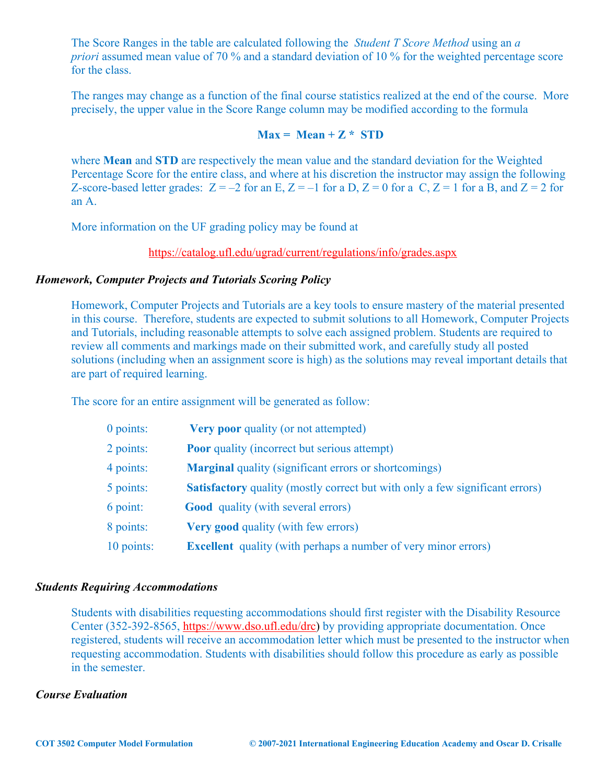The Score Ranges in the table are calculated following the *Student T Score Method* using an *a priori* assumed mean value of 70 % and a standard deviation of 10 % for the weighted percentage score for the class.

The ranges may change as a function of the final course statistics realized at the end of the course. More precisely, the upper value in the Score Range column may be modified according to the formula

# $Max = Mean + Z * STD$

where **Mean** and **STD** are respectively the mean value and the standard deviation for the Weighted Percentage Score for the entire class, and where at his discretion the instructor may assign the following Z-score-based letter grades:  $Z = -2$  for an E,  $Z = -1$  for a D,  $Z = 0$  for a C,  $Z = 1$  for a B, and  $Z = 2$  for an A.

More information on the UF grading policy may be found at

https://catalog.ufl.edu/ugrad/current/regulations/info/grades.aspx

# *Homework, Computer Projects and Tutorials Scoring Policy*

Homework, Computer Projects and Tutorials are a key tools to ensure mastery of the material presented in this course. Therefore, students are expected to submit solutions to all Homework, Computer Projects and Tutorials, including reasonable attempts to solve each assigned problem. Students are required to review all comments and markings made on their submitted work, and carefully study all posted solutions (including when an assignment score is high) as the solutions may reveal important details that are part of required learning.

The score for an entire assignment will be generated as follow:

| 0 points:  | <b>Very poor quality (or not attempted)</b>                                         |
|------------|-------------------------------------------------------------------------------------|
| 2 points:  | <b>Poor</b> quality (incorrect but serious attempt)                                 |
| 4 points:  | <b>Marginal</b> quality (significant errors or shortcomings)                        |
| 5 points:  | <b>Satisfactory</b> quality (mostly correct but with only a few significant errors) |
| 6 point:   | <b>Good</b> quality (with several errors)                                           |
| 8 points:  | <b>Very good</b> quality (with few errors)                                          |
| 10 points: | <b>Excellent</b> quality (with perhaps a number of very minor errors)               |
|            |                                                                                     |

#### *Students Requiring Accommodations*

Students with disabilities requesting accommodations should first register with the Disability Resource Center (352-392-8565, https://www.dso.ufl.edu/drc) by providing appropriate documentation. Once registered, students will receive an accommodation letter which must be presented to the instructor when requesting accommodation. Students with disabilities should follow this procedure as early as possible in the semester.

### *Course Evaluation*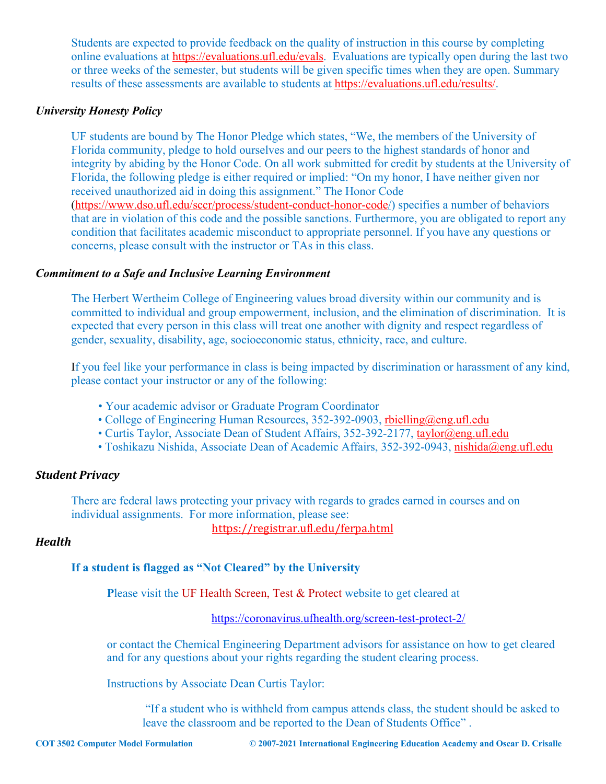Students are expected to provide feedback on the quality of instruction in this course by completing online evaluations at https://evaluations.ufl.edu/evals. Evaluations are typically open during the last two or three weeks of the semester, but students will be given specific times when they are open. Summary results of these assessments are available to students at https://evaluations.ufl.edu/results/.

## *University Honesty Policy*

UF students are bound by The Honor Pledge which states, "We, the members of the University of Florida community, pledge to hold ourselves and our peers to the highest standards of honor and integrity by abiding by the Honor Code. On all work submitted for credit by students at the University of Florida, the following pledge is either required or implied: "On my honor, I have neither given nor received unauthorized aid in doing this assignment." The Honor Code (https://www.dso.ufl.edu/sccr/process/student-conduct-honor-code/) specifies a number of behaviors that are in violation of this code and the possible sanctions. Furthermore, you are obligated to report any condition that facilitates academic misconduct to appropriate personnel. If you have any questions or concerns, please consult with the instructor or TAs in this class.

# *Commitment to a Safe and Inclusive Learning Environment*

The Herbert Wertheim College of Engineering values broad diversity within our community and is committed to individual and group empowerment, inclusion, and the elimination of discrimination. It is expected that every person in this class will treat one another with dignity and respect regardless of gender, sexuality, disability, age, socioeconomic status, ethnicity, race, and culture.

If you feel like your performance in class is being impacted by discrimination or harassment of any kind, please contact your instructor or any of the following:

- Your academic advisor or Graduate Program Coordinator
- College of Engineering Human Resources, 352-392-0903, rbielling@eng.ufl.edu
- Curtis Taylor, Associate Dean of Student Affairs, 352-392-2177, taylor@eng.ufl.edu
- Toshikazu Nishida, Associate Dean of Academic Affairs, 352-392-0943, nishida@eng.ufl.edu

# *Student Privacy*

There are federal laws protecting your privacy with regards to grades earned in courses and on individual assignments. For more information, please see:

https://registrar.ufl.edu/ferpa.html

# *Health*

# **If a student is flagged as "Not Cleared" by the University**

Please visit the UF Health Screen, Test & Protect website to get cleared at

https://coronavirus.ufhealth.org/screen-test-protect-2/

or contact the Chemical Engineering Department advisors for assistance on how to get cleared and for any questions about your rights regarding the student clearing process.

Instructions by Associate Dean Curtis Taylor:

"If a student who is withheld from campus attends class, the student should be asked to leave the classroom and be reported to the Dean of Students Office" .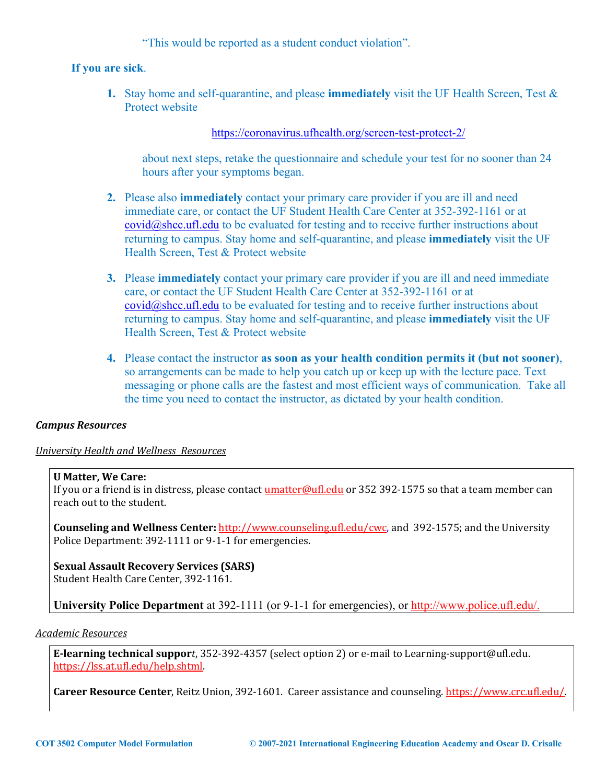"This would be reported as a student conduct violation".

# **If you are sick**.

**1.** Stay home and self-quarantine, and please **immediately** visit the UF Health Screen, Test & Protect website

https://coronavirus.ufhealth.org/screen-test-protect-2/

about next steps, retake the questionnaire and schedule your test for no sooner than 24 hours after your symptoms began.

- **2.** Please also **immediately** contact your primary care provider if you are ill and need immediate care, or contact the UF Student Health Care Center at 352-392-1161 or at covid@shcc.ufl.edu to be evaluated for testing and to receive further instructions about returning to campus. Stay home and self-quarantine, and please **immediately** visit the UF Health Screen, Test & Protect website
- **3.** Please **immediately** contact your primary care provider if you are ill and need immediate care, or contact the UF Student Health Care Center at 352-392-1161 or at covid@shcc.ufl.edu to be evaluated for testing and to receive further instructions about returning to campus. Stay home and self-quarantine, and please **immediately** visit the UF Health Screen, Test & Protect website
- **4.** Please contact the instructor **as soon as your health condition permits it (but not sooner)**, so arrangements can be made to help you catch up or keep up with the lecture pace. Text messaging or phone calls are the fastest and most efficient ways of communication. Take all the time you need to contact the instructor, as dictated by your health condition.

# *Campus Resources*

#### *University Health and Wellness Resources*

#### **U Matter, We Care:**

If you or a friend is in distress, please contact  $\frac{$ umatter@ufl.edu or 352 392-1575 so that a team member can reach out to the student.

**Counseling and Wellness Center:** http://www.counseling.ufl.edu/cwc, and 392-1575; and the University Police Department: 392-1111 or 9-1-1 for emergencies.

# **Sexual Assault Recovery Services (SARS)**

Student Health Care Center, 392-1161.

**University Police Department** at 392-1111 (or 9-1-1 for emergencies), or http://www.police.ufl.edu/.

### *Academic Resources*

E-learning technical support, 352-392-4357 (select option 2) or e-mail to Learning-support@ufl.edu. https://lss.at.ufl.edu/help.shtml.

**Career Resource Center**, Reitz Union, 392-1601. Career assistance and counseling. https://www.crc.ufl.edu/.